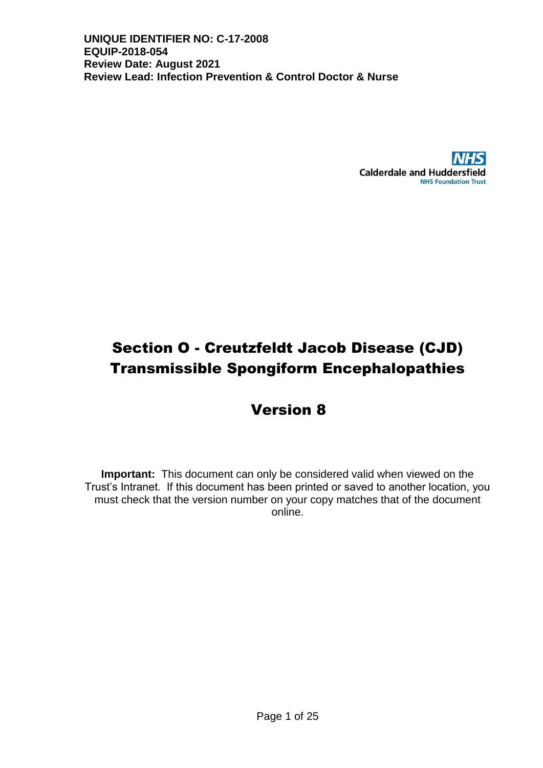

# Section O - Creutzfeldt Jacob Disease (CJD) Transmissible Spongiform Encephalopathies

# Version 8

**Important:** This document can only be considered valid when viewed on the Trust's Intranet. If this document has been printed or saved to another location, you must check that the version number on your copy matches that of the document online.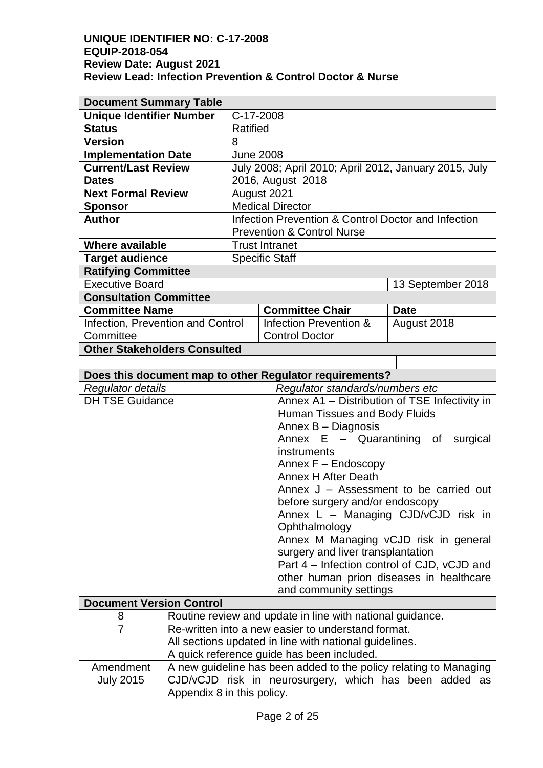| <b>Document Summary Table</b>                                                                            |  |                                                                   |                                             |                                                           |                                        |  |
|----------------------------------------------------------------------------------------------------------|--|-------------------------------------------------------------------|---------------------------------------------|-----------------------------------------------------------|----------------------------------------|--|
| <b>Unique Identifier Number</b>                                                                          |  | C-17-2008                                                         |                                             |                                                           |                                        |  |
| <b>Status</b>                                                                                            |  | <b>Ratified</b>                                                   |                                             |                                                           |                                        |  |
| <b>Version</b>                                                                                           |  | 8                                                                 |                                             |                                                           |                                        |  |
| <b>Implementation Date</b>                                                                               |  | <b>June 2008</b>                                                  |                                             |                                                           |                                        |  |
| <b>Current/Last Review</b>                                                                               |  |                                                                   |                                             | July 2008; April 2010; April 2012, January 2015, July     |                                        |  |
| <b>Dates</b>                                                                                             |  |                                                                   |                                             | 2016, August 2018                                         |                                        |  |
| <b>Next Formal Review</b>                                                                                |  | August 2021                                                       |                                             |                                                           |                                        |  |
| Sponsor                                                                                                  |  |                                                                   |                                             | <b>Medical Director</b>                                   |                                        |  |
| <b>Author</b>                                                                                            |  |                                                                   |                                             | Infection Prevention & Control Doctor and Infection       |                                        |  |
|                                                                                                          |  |                                                                   |                                             | <b>Prevention &amp; Control Nurse</b>                     |                                        |  |
| <b>Where available</b>                                                                                   |  |                                                                   |                                             | <b>Trust Intranet</b>                                     |                                        |  |
| <b>Target audience</b>                                                                                   |  | <b>Specific Staff</b>                                             |                                             |                                                           |                                        |  |
| <b>Ratifying Committee</b>                                                                               |  |                                                                   |                                             |                                                           |                                        |  |
| <b>Executive Board</b>                                                                                   |  |                                                                   |                                             |                                                           | 13 September 2018                      |  |
| <b>Consultation Committee</b>                                                                            |  |                                                                   |                                             |                                                           |                                        |  |
| <b>Committee Name</b>                                                                                    |  |                                                                   |                                             | <b>Committee Chair</b>                                    | <b>Date</b>                            |  |
| Infection, Prevention and Control                                                                        |  |                                                                   |                                             | Infection Prevention &                                    | August 2018                            |  |
| Committee                                                                                                |  |                                                                   |                                             | <b>Control Doctor</b>                                     |                                        |  |
| <b>Other Stakeholders Consulted</b>                                                                      |  |                                                                   |                                             |                                                           |                                        |  |
|                                                                                                          |  |                                                                   |                                             |                                                           |                                        |  |
|                                                                                                          |  |                                                                   |                                             | Does this document map to other Regulator requirements?   |                                        |  |
| Regulator details                                                                                        |  |                                                                   |                                             | Regulator standards/numbers etc                           |                                        |  |
| <b>DH TSE Guidance</b><br>Annex A1 - Distribution of TSE Infectivity in<br>Human Tissues and Body Fluids |  |                                                                   |                                             |                                                           |                                        |  |
|                                                                                                          |  |                                                                   |                                             | Annex B - Diagnosis                                       |                                        |  |
| Annex E - Quarantining of surgical                                                                       |  |                                                                   |                                             |                                                           |                                        |  |
|                                                                                                          |  |                                                                   |                                             | instruments                                               |                                        |  |
|                                                                                                          |  |                                                                   |                                             | Annex F - Endoscopy                                       |                                        |  |
|                                                                                                          |  |                                                                   |                                             | <b>Annex H After Death</b>                                |                                        |  |
|                                                                                                          |  |                                                                   |                                             |                                                           | Annex J - Assessment to be carried out |  |
|                                                                                                          |  |                                                                   |                                             | before surgery and/or endoscopy                           |                                        |  |
|                                                                                                          |  |                                                                   |                                             |                                                           | Annex L - Managing CJD/vCJD risk in    |  |
|                                                                                                          |  |                                                                   |                                             | Ophthalmology                                             |                                        |  |
|                                                                                                          |  |                                                                   |                                             | Annex M Managing vCJD risk in general                     |                                        |  |
|                                                                                                          |  |                                                                   | surgery and liver transplantation           |                                                           |                                        |  |
|                                                                                                          |  |                                                                   | Part 4 – Infection control of CJD, vCJD and |                                                           |                                        |  |
|                                                                                                          |  |                                                                   | other human prion diseases in healthcare    |                                                           |                                        |  |
| and community settings                                                                                   |  |                                                                   |                                             |                                                           |                                        |  |
| <b>Document Version Control</b>                                                                          |  |                                                                   |                                             |                                                           |                                        |  |
| 8                                                                                                        |  |                                                                   |                                             | Routine review and update in line with national guidance. |                                        |  |
| $\overline{7}$                                                                                           |  | Re-written into a new easier to understand format.                |                                             |                                                           |                                        |  |
|                                                                                                          |  |                                                                   |                                             | All sections updated in line with national guidelines.    |                                        |  |
|                                                                                                          |  | A quick reference guide has been included.                        |                                             |                                                           |                                        |  |
| Amendment<br><b>July 2015</b>                                                                            |  | A new guideline has been added to the policy relating to Managing |                                             |                                                           |                                        |  |
|                                                                                                          |  | CJD/vCJD risk in neurosurgery, which has been added as            |                                             |                                                           |                                        |  |
|                                                                                                          |  | Appendix 8 in this policy.                                        |                                             |                                                           |                                        |  |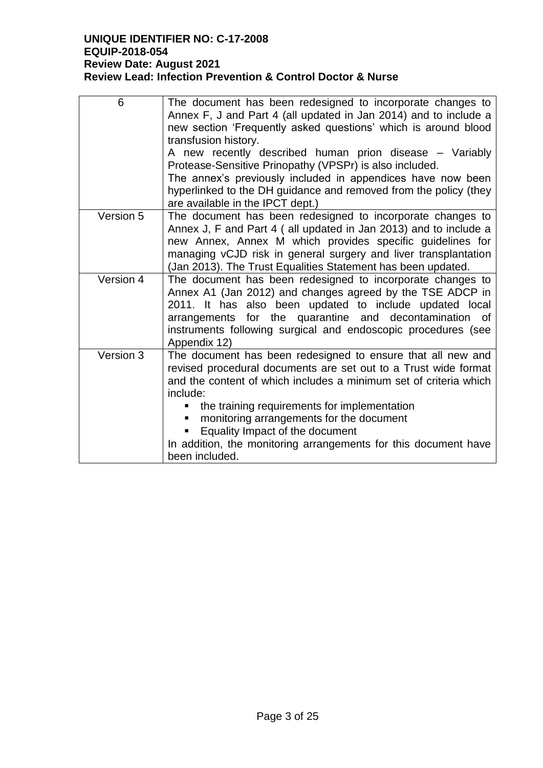| 6         | The document has been redesigned to incorporate changes to<br>Annex F, J and Part 4 (all updated in Jan 2014) and to include a<br>new section 'Frequently asked questions' which is around blood<br>transfusion history.<br>A new recently described human prion disease – Variably<br>Protease-Sensitive Prinopathy (VPSPr) is also included.<br>The annex's previously included in appendices have now been<br>hyperlinked to the DH guidance and removed from the policy (they<br>are available in the IPCT dept.) |
|-----------|-----------------------------------------------------------------------------------------------------------------------------------------------------------------------------------------------------------------------------------------------------------------------------------------------------------------------------------------------------------------------------------------------------------------------------------------------------------------------------------------------------------------------|
| Version 5 | The document has been redesigned to incorporate changes to<br>Annex J, F and Part 4 (all updated in Jan 2013) and to include a<br>new Annex, Annex M which provides specific guidelines for<br>managing vCJD risk in general surgery and liver transplantation<br>(Jan 2013). The Trust Equalities Statement has been updated.                                                                                                                                                                                        |
| Version 4 | The document has been redesigned to incorporate changes to<br>Annex A1 (Jan 2012) and changes agreed by the TSE ADCP in<br>2011. It has also been updated to include updated local<br>arrangements for the quarantine and decontamination of<br>instruments following surgical and endoscopic procedures (see<br>Appendix 12)                                                                                                                                                                                         |
| Version 3 | The document has been redesigned to ensure that all new and<br>revised procedural documents are set out to a Trust wide format<br>and the content of which includes a minimum set of criteria which<br>include:<br>the training requirements for implementation<br>٠<br>monitoring arrangements for the document<br>Equality Impact of the document<br>п<br>In addition, the monitoring arrangements for this document have<br>been included.                                                                         |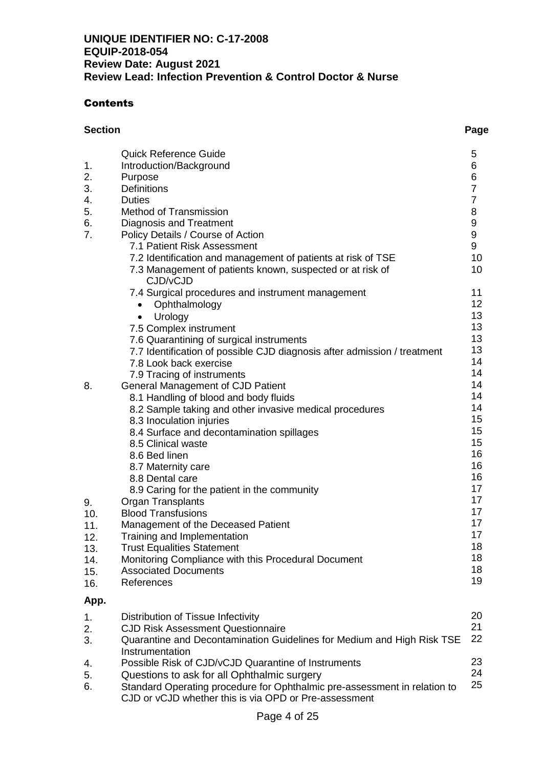#### **Contents**

| <b>Section</b> |                                                                                    | Page             |
|----------------|------------------------------------------------------------------------------------|------------------|
|                | <b>Quick Reference Guide</b>                                                       | 5                |
| 1.             | Introduction/Background                                                            | 6                |
| 2.             | Purpose                                                                            | 6                |
| 3.             | <b>Definitions</b>                                                                 | $\overline{7}$   |
| 4.             | <b>Duties</b>                                                                      | $\overline{7}$   |
| 5.             | <b>Method of Transmission</b>                                                      | 8                |
| 6.             | Diagnosis and Treatment                                                            | $\boldsymbol{9}$ |
| 7.             | Policy Details / Course of Action                                                  | $\boldsymbol{9}$ |
|                | 7.1 Patient Risk Assessment                                                        | 9                |
|                | 7.2 Identification and management of patients at risk of TSE                       | 10               |
|                | 7.3 Management of patients known, suspected or at risk of                          | 10               |
|                | CJD/vCJD                                                                           |                  |
|                | 7.4 Surgical procedures and instrument management                                  | 11               |
|                | Ophthalmology                                                                      | 12 <sup>2</sup>  |
|                | Urology<br>$\bullet$                                                               | 13               |
|                | 7.5 Complex instrument                                                             | 13               |
|                | 7.6 Quarantining of surgical instruments                                           | 13               |
|                | 7.7 Identification of possible CJD diagnosis after admission / treatment           | 13               |
|                | 7.8 Look back exercise                                                             | 14               |
|                | 7.9 Tracing of instruments                                                         | 14               |
| 8.             | <b>General Management of CJD Patient</b>                                           | 14               |
|                | 8.1 Handling of blood and body fluids                                              | 14               |
|                | 8.2 Sample taking and other invasive medical procedures                            | 14               |
|                | 8.3 Inoculation injuries                                                           | 15               |
|                | 8.4 Surface and decontamination spillages                                          | 15               |
|                | 8.5 Clinical waste                                                                 | 15               |
|                | 8.6 Bed linen                                                                      | 16               |
|                | 8.7 Maternity care                                                                 | 16               |
|                | 8.8 Dental care                                                                    | 16<br>17         |
|                | 8.9 Caring for the patient in the community                                        | 17               |
| 9.             | <b>Organ Transplants</b>                                                           | 17               |
| 10.            | <b>Blood Transfusions</b>                                                          | 17               |
| 11.            | Management of the Deceased Patient                                                 | 17               |
| 12.            | Training and Implementation                                                        | 18               |
| 13.            | <b>Trust Equalities Statement</b>                                                  | 18               |
| 14.            | Monitoring Compliance with this Procedural Document<br><b>Associated Documents</b> | 18               |
| 15.            | References                                                                         | 19               |
| 16.            |                                                                                    |                  |
| App.           |                                                                                    |                  |
| 1.             | Distribution of Tissue Infectivity                                                 | 20               |

| 1. | Distribution of Tissue Infectivity                                                                                                 | 20 |
|----|------------------------------------------------------------------------------------------------------------------------------------|----|
| 2. | <b>CJD Risk Assessment Questionnaire</b>                                                                                           | 21 |
| 3. | Quarantine and Decontamination Guidelines for Medium and High Risk TSE 22<br>Instrumentation                                       |    |
| 4. | Possible Risk of CJD/vCJD Quarantine of Instruments                                                                                | 23 |
| 5. | Questions to ask for all Ophthalmic surgery                                                                                        | 24 |
| 6. | Standard Operating procedure for Ophthalmic pre-assessment in relation to<br>CJD or vCJD whether this is via OPD or Pre-assessment | 25 |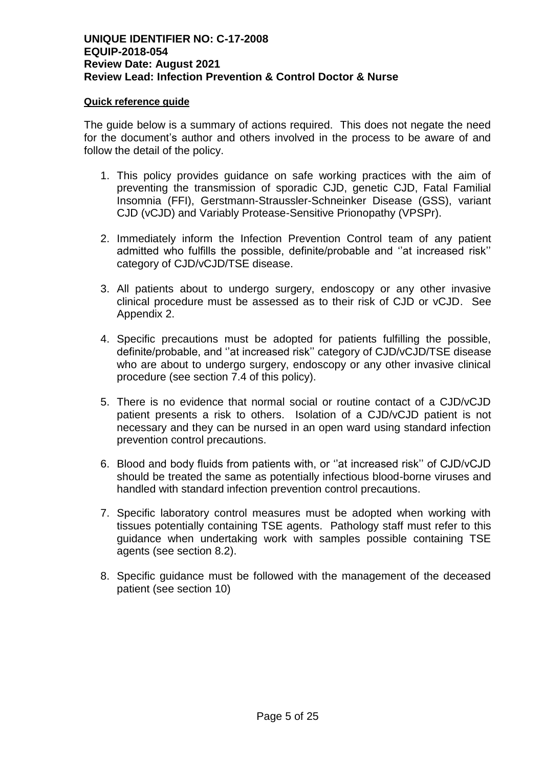#### **Quick reference guide**

The guide below is a summary of actions required. This does not negate the need for the document's author and others involved in the process to be aware of and follow the detail of the policy.

- 1. This policy provides guidance on safe working practices with the aim of preventing the transmission of sporadic CJD, genetic CJD, Fatal Familial Insomnia (FFI), Gerstmann-Straussler-Schneinker Disease (GSS), variant CJD (vCJD) and Variably Protease-Sensitive Prionopathy (VPSPr).
- 2. Immediately inform the Infection Prevention Control team of any patient admitted who fulfills the possible, definite/probable and ''at increased risk'' category of CJD/vCJD/TSE disease.
- 3. All patients about to undergo surgery, endoscopy or any other invasive clinical procedure must be assessed as to their risk of CJD or vCJD. See Appendix 2.
- 4. Specific precautions must be adopted for patients fulfilling the possible, definite/probable, and ''at increased risk'' category of CJD/vCJD/TSE disease who are about to undergo surgery, endoscopy or any other invasive clinical procedure (see section 7.4 of this policy).
- 5. There is no evidence that normal social or routine contact of a CJD/vCJD patient presents a risk to others. Isolation of a CJD/vCJD patient is not necessary and they can be nursed in an open ward using standard infection prevention control precautions.
- 6. Blood and body fluids from patients with, or ''at increased risk'' of CJD/vCJD should be treated the same as potentially infectious blood-borne viruses and handled with standard infection prevention control precautions.
- 7. Specific laboratory control measures must be adopted when working with tissues potentially containing TSE agents. Pathology staff must refer to this guidance when undertaking work with samples possible containing TSE agents (see section 8.2).
- 8. Specific guidance must be followed with the management of the deceased patient (see section 10)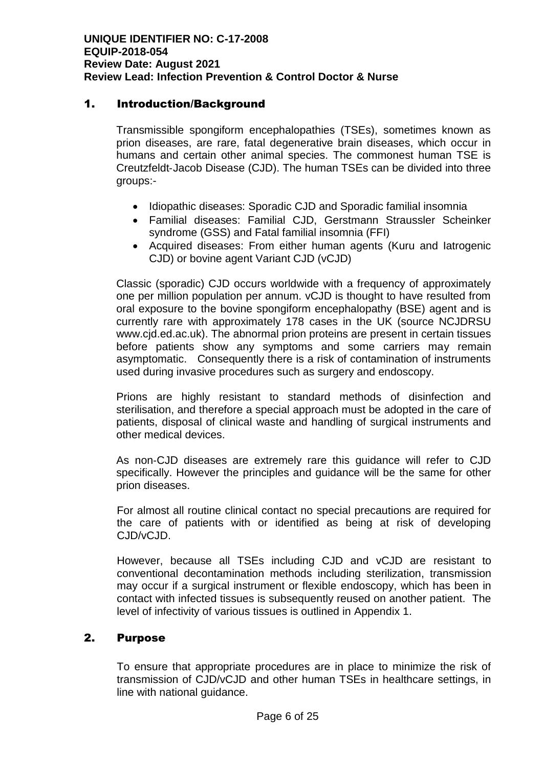## 1. Introduction/Background

Transmissible spongiform encephalopathies (TSEs), sometimes known as prion diseases, are rare, fatal degenerative brain diseases, which occur in humans and certain other animal species. The commonest human TSE is Creutzfeldt‐Jacob Disease (CJD). The human TSEs can be divided into three groups:-

- Idiopathic diseases: Sporadic CJD and Sporadic familial insomnia
- Familial diseases: Familial CJD, Gerstmann Straussler Scheinker syndrome (GSS) and Fatal familial insomnia (FFI)
- Acquired diseases: From either human agents (Kuru and Iatrogenic CJD) or bovine agent Variant CJD (vCJD)

Classic (sporadic) CJD occurs worldwide with a frequency of approximately one per million population per annum. vCJD is thought to have resulted from oral exposure to the bovine spongiform encephalopathy (BSE) agent and is currently rare with approximately 178 cases in the UK (source NCJDRSU www.cjd.ed.ac.uk). The abnormal prion proteins are present in certain tissues before patients show any symptoms and some carriers may remain asymptomatic. Consequently there is a risk of contamination of instruments used during invasive procedures such as surgery and endoscopy.

Prions are highly resistant to standard methods of disinfection and sterilisation, and therefore a special approach must be adopted in the care of patients, disposal of clinical waste and handling of surgical instruments and other medical devices.

As non‐CJD diseases are extremely rare this guidance will refer to CJD specifically. However the principles and guidance will be the same for other prion diseases.

For almost all routine clinical contact no special precautions are required for the care of patients with or identified as being at risk of developing CJD/vCJD.

However, because all TSEs including CJD and vCJD are resistant to conventional decontamination methods including sterilization, transmission may occur if a surgical instrument or flexible endoscopy, which has been in contact with infected tissues is subsequently reused on another patient. The level of infectivity of various tissues is outlined in Appendix 1.

## 2. Purpose

To ensure that appropriate procedures are in place to minimize the risk of transmission of CJD/vCJD and other human TSEs in healthcare settings, in line with national guidance.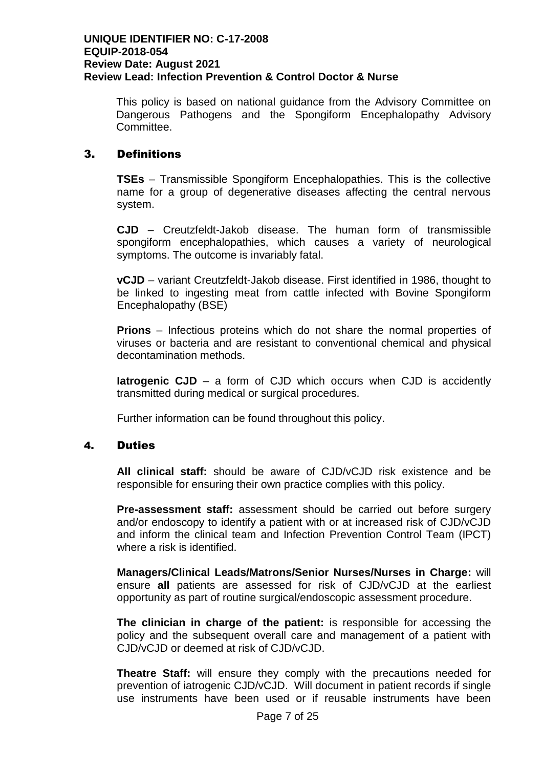This policy is based on national guidance from the Advisory Committee on Dangerous Pathogens and the Spongiform Encephalopathy Advisory Committee.

## 3. Definitions

**TSEs** – Transmissible Spongiform Encephalopathies. This is the collective name for a group of degenerative diseases affecting the central nervous system.

**CJD** – Creutzfeldt-Jakob disease. The human form of transmissible spongiform encephalopathies, which causes a variety of neurological symptoms. The outcome is invariably fatal.

**vCJD** – variant Creutzfeldt-Jakob disease. First identified in 1986, thought to be linked to ingesting meat from cattle infected with Bovine Spongiform Encephalopathy (BSE)

**Prions** – Infectious proteins which do not share the normal properties of viruses or bacteria and are resistant to conventional chemical and physical decontamination methods.

**Iatrogenic CJD** – a form of CJD which occurs when CJD is accidently transmitted during medical or surgical procedures.

Further information can be found throughout this policy.

#### 4. Duties

**All clinical staff:** should be aware of CJD/vCJD risk existence and be responsible for ensuring their own practice complies with this policy.

**Pre-assessment staff:** assessment should be carried out before surgery and/or endoscopy to identify a patient with or at increased risk of CJD/vCJD and inform the clinical team and Infection Prevention Control Team (IPCT) where a risk is identified.

**Managers/Clinical Leads/Matrons/Senior Nurses/Nurses in Charge:** will ensure **all** patients are assessed for risk of CJD/vCJD at the earliest opportunity as part of routine surgical/endoscopic assessment procedure.

**The clinician in charge of the patient:** is responsible for accessing the policy and the subsequent overall care and management of a patient with CJD/vCJD or deemed at risk of CJD/vCJD.

**Theatre Staff:** will ensure they comply with the precautions needed for prevention of iatrogenic CJD/vCJD. Will document in patient records if single use instruments have been used or if reusable instruments have been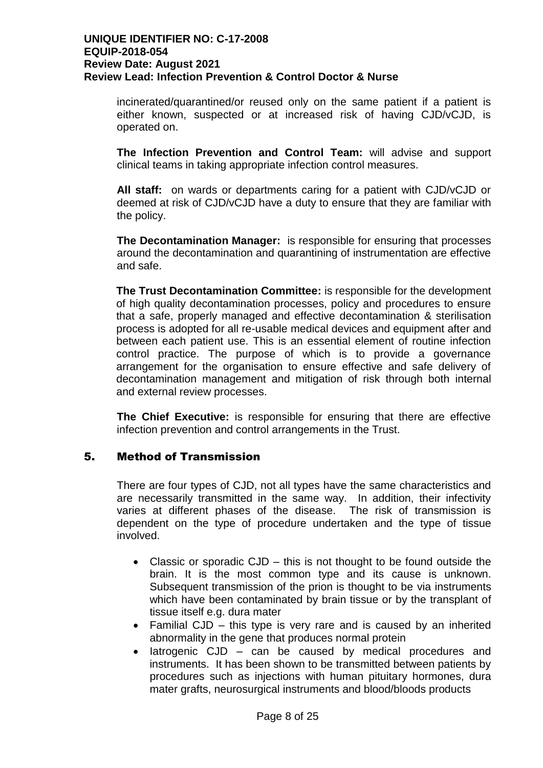incinerated/quarantined/or reused only on the same patient if a patient is either known, suspected or at increased risk of having CJD/vCJD, is operated on.

**The Infection Prevention and Control Team:** will advise and support clinical teams in taking appropriate infection control measures.

**All staff:** on wards or departments caring for a patient with CJD/vCJD or deemed at risk of CJD/vCJD have a duty to ensure that they are familiar with the policy.

**The Decontamination Manager:** is responsible for ensuring that processes around the decontamination and quarantining of instrumentation are effective and safe.

**The Trust Decontamination Committee:** is responsible for the development of high quality decontamination processes, policy and procedures to ensure that a safe, properly managed and effective decontamination & sterilisation process is adopted for all re-usable medical devices and equipment after and between each patient use. This is an essential element of routine infection control practice. The purpose of which is to provide a governance arrangement for the organisation to ensure effective and safe delivery of decontamination management and mitigation of risk through both internal and external review processes.

**The Chief Executive:** is responsible for ensuring that there are effective infection prevention and control arrangements in the Trust.

## 5. Method of Transmission

There are four types of CJD, not all types have the same characteristics and are necessarily transmitted in the same way. In addition, their infectivity varies at different phases of the disease. The risk of transmission is dependent on the type of procedure undertaken and the type of tissue involved.

- Classic or sporadic CJD this is not thought to be found outside the brain. It is the most common type and its cause is unknown. Subsequent transmission of the prion is thought to be via instruments which have been contaminated by brain tissue or by the transplant of tissue itself e.g. dura mater
- Familial CJD this type is very rare and is caused by an inherited abnormality in the gene that produces normal protein
- $\bullet$  latrogenic CJD can be caused by medical procedures and instruments. It has been shown to be transmitted between patients by procedures such as injections with human pituitary hormones, dura mater grafts, neurosurgical instruments and blood/bloods products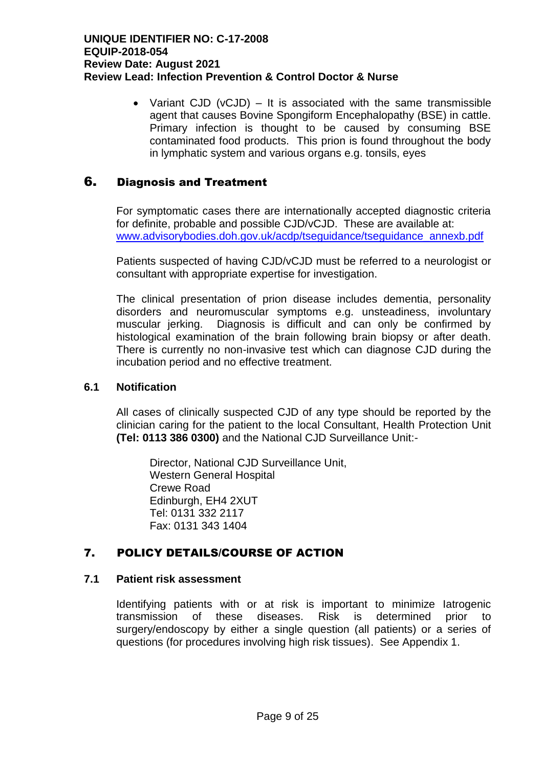Variant CJD (vCJD) – It is associated with the same transmissible agent that causes Bovine Spongiform Encephalopathy (BSE) in cattle. Primary infection is thought to be caused by consuming BSE contaminated food products. This prion is found throughout the body in lymphatic system and various organs e.g. tonsils, eyes

# 6. Diagnosis and Treatment

For symptomatic cases there are internationally accepted diagnostic criteria for definite, probable and possible CJD/vCJD. These are available at: [www.advisorybodies.doh.gov.uk/acdp/tseguidance/tseguidance\\_annexb.pdf](http://www.advisorybodies.doh.gov.uk/acdp/tseguidance/tseguidance_annexb.pdf)

Patients suspected of having CJD/vCJD must be referred to a neurologist or consultant with appropriate expertise for investigation.

The clinical presentation of prion disease includes dementia, personality disorders and neuromuscular symptoms e.g. unsteadiness, involuntary muscular jerking. Diagnosis is difficult and can only be confirmed by histological examination of the brain following brain biopsy or after death. There is currently no non-invasive test which can diagnose CJD during the incubation period and no effective treatment.

#### **6.1 Notification**

All cases of clinically suspected CJD of any type should be reported by the clinician caring for the patient to the local Consultant, Health Protection Unit **(Tel: 0113 386 0300)** and the National CJD Surveillance Unit:-

Director, National CJD Surveillance Unit, Western General Hospital Crewe Road Edinburgh, EH4 2XUT Tel: 0131 332 2117 Fax: 0131 343 1404

# 7. POLICY DETAILS/COURSE OF ACTION

#### **7.1 Patient risk assessment**

Identifying patients with or at risk is important to minimize Iatrogenic transmission of these diseases. Risk is determined prior to surgery/endoscopy by either a single question (all patients) or a series of questions (for procedures involving high risk tissues). See Appendix 1.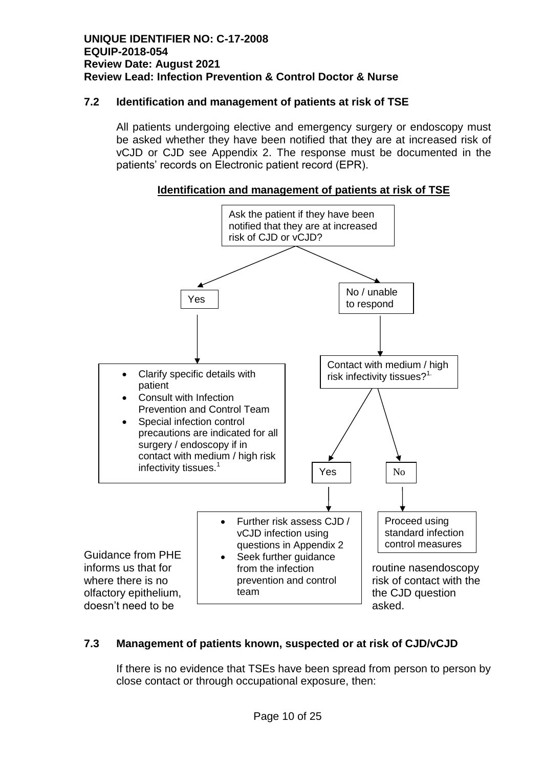## **7.2 Identification and management of patients at risk of TSE**

All patients undergoing elective and emergency surgery or endoscopy must be asked whether they have been notified that they are at increased risk of vCJD or CJD see Appendix 2. The response must be documented in the patients' records on Electronic patient record (EPR).

**Identification and management of patients at risk of TSE**



# **7.3 Management of patients known, suspected or at risk of CJD/vCJD**

If there is no evidence that TSEs have been spread from person to person by close contact or through occupational exposure, then: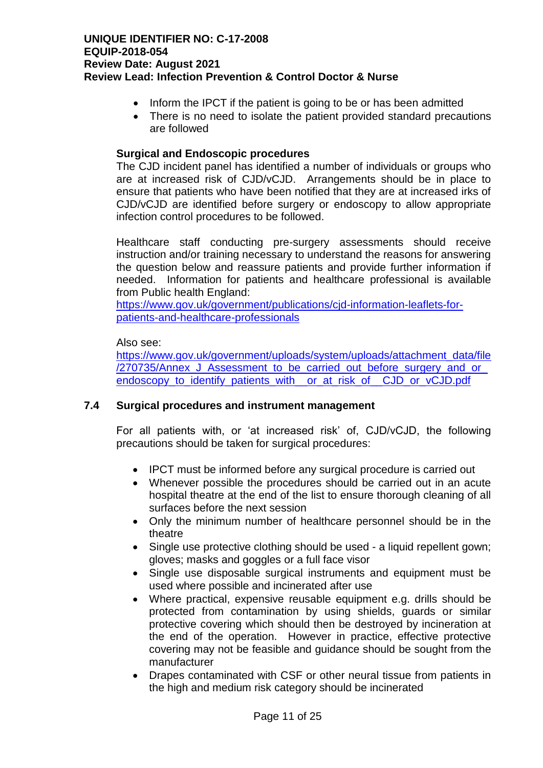- Inform the IPCT if the patient is going to be or has been admitted
- There is no need to isolate the patient provided standard precautions are followed

#### **Surgical and Endoscopic procedures**

The CJD incident panel has identified a number of individuals or groups who are at increased risk of CJD/vCJD. Arrangements should be in place to ensure that patients who have been notified that they are at increased irks of CJD/vCJD are identified before surgery or endoscopy to allow appropriate infection control procedures to be followed.

Healthcare staff conducting pre-surgery assessments should receive instruction and/or training necessary to understand the reasons for answering the question below and reassure patients and provide further information if needed. Information for patients and healthcare professional is available from Public health England:

https://www.gov.uk/government/publications/cid-information-leaflets-for[patients-and-healthcare-professionals](https://www.gov.uk/government/publications/cjd-information-leaflets-for-patients-and-healthcare-professionals)

Also see:

[https://www.gov.uk/government/uploads/system/uploads/attachment\\_data/file](https://www.gov.uk/government/uploads/system/uploads/attachment_data/file/270735/Annex_J_Assessment_to_be_carried_out_before_surgery_and_or_endoscopy_to_identify_patients_with__or_at_risk_of__CJD_or_vCJD.pdf) /270735/Annex J Assessment to be carried out before surgery and or endoscopy to identify patients with or at risk of CJD or vCJD.pdf

## **7.4 Surgical procedures and instrument management**

For all patients with, or 'at increased risk' of, CJD/vCJD, the following precautions should be taken for surgical procedures:

- IPCT must be informed before any surgical procedure is carried out
- Whenever possible the procedures should be carried out in an acute hospital theatre at the end of the list to ensure thorough cleaning of all surfaces before the next session
- Only the minimum number of healthcare personnel should be in the theatre
- Single use protective clothing should be used a liquid repellent gown; gloves; masks and goggles or a full face visor
- Single use disposable surgical instruments and equipment must be used where possible and incinerated after use
- Where practical, expensive reusable equipment e.g. drills should be protected from contamination by using shields, guards or similar protective covering which should then be destroyed by incineration at the end of the operation. However in practice, effective protective covering may not be feasible and guidance should be sought from the manufacturer
- Drapes contaminated with CSF or other neural tissue from patients in the high and medium risk category should be incinerated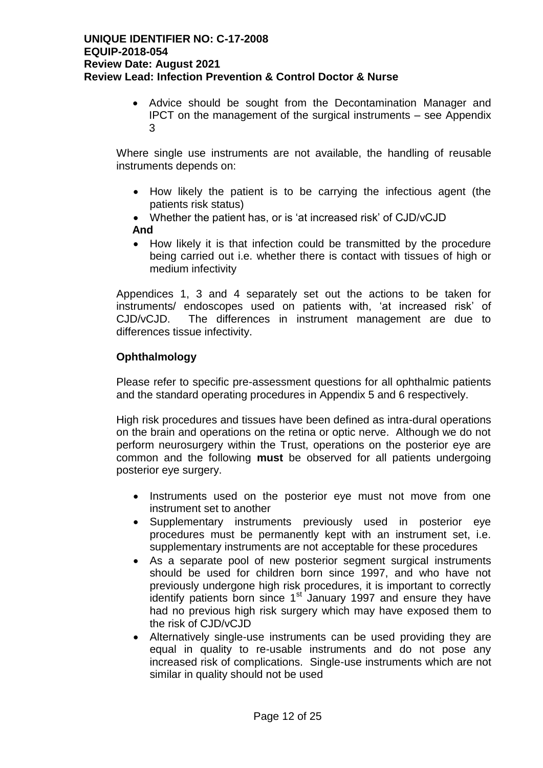Advice should be sought from the Decontamination Manager and IPCT on the management of the surgical instruments – see Appendix 3

Where single use instruments are not available, the handling of reusable instruments depends on:

- How likely the patient is to be carrying the infectious agent (the patients risk status)
- Whether the patient has, or is 'at increased risk' of CJD/vCJD  **And**
- How likely it is that infection could be transmitted by the procedure being carried out i.e. whether there is contact with tissues of high or medium infectivity

Appendices 1, 3 and 4 separately set out the actions to be taken for instruments/ endoscopes used on patients with, 'at increased risk' of CJD/vCJD. The differences in instrument management are due to differences tissue infectivity.

## **Ophthalmology**

Please refer to specific pre-assessment questions for all ophthalmic patients and the standard operating procedures in Appendix 5 and 6 respectively.

High risk procedures and tissues have been defined as intra-dural operations on the brain and operations on the retina or optic nerve. Although we do not perform neurosurgery within the Trust, operations on the posterior eye are common and the following **must** be observed for all patients undergoing posterior eye surgery.

- Instruments used on the posterior eye must not move from one instrument set to another
- Supplementary instruments previously used in posterior eye procedures must be permanently kept with an instrument set, i.e. supplementary instruments are not acceptable for these procedures
- As a separate pool of new posterior segment surgical instruments should be used for children born since 1997, and who have not previously undergone high risk procedures, it is important to correctly identify patients born since  $1<sup>st</sup>$  January 1997 and ensure they have had no previous high risk surgery which may have exposed them to the risk of CJD/vCJD
- Alternatively single-use instruments can be used providing they are equal in quality to re-usable instruments and do not pose any increased risk of complications. Single-use instruments which are not similar in quality should not be used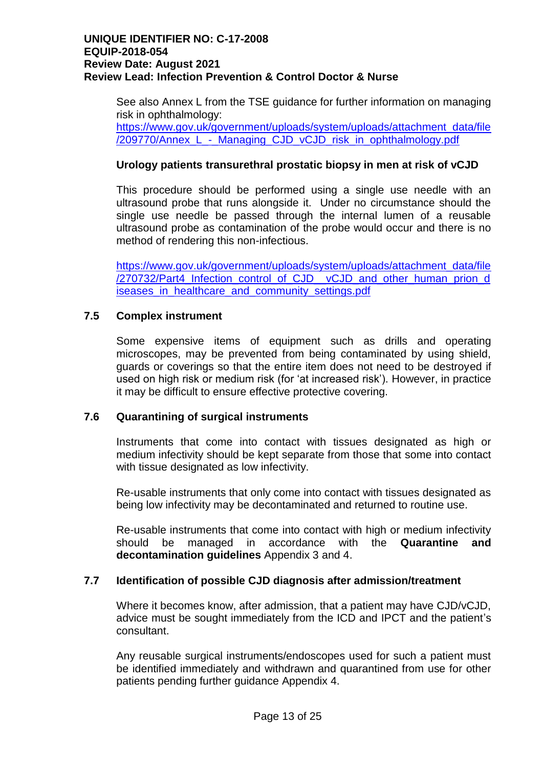See also Annex L from the TSE guidance for further information on managing risk in ophthalmology:

[https://www.gov.uk/government/uploads/system/uploads/attachment\\_data/file](https://www.gov.uk/government/uploads/system/uploads/attachment_data/file/209770/Annex_L_-_Managing_CJD_vCJD_risk_in_ophthalmology.pdf) [/209770/Annex\\_L\\_-\\_Managing\\_CJD\\_vCJD\\_risk\\_in\\_ophthalmology.pdf](https://www.gov.uk/government/uploads/system/uploads/attachment_data/file/209770/Annex_L_-_Managing_CJD_vCJD_risk_in_ophthalmology.pdf)

## **Urology patients transurethral prostatic biopsy in men at risk of vCJD**

This procedure should be performed using a single use needle with an ultrasound probe that runs alongside it. Under no circumstance should the single use needle be passed through the internal lumen of a reusable ultrasound probe as contamination of the probe would occur and there is no method of rendering this non-infectious.

[https://www.gov.uk/government/uploads/system/uploads/attachment\\_data/file](https://www.gov.uk/government/uploads/system/uploads/attachment_data/file/270732/Part4_Infection_control_of_CJD__vCJD_and_other_human_prion_diseases_in_healthcare_and_community_settings.pdf) [/270732/Part4\\_Infection\\_control\\_of\\_CJD\\_\\_vCJD\\_and\\_other\\_human\\_prion\\_d](https://www.gov.uk/government/uploads/system/uploads/attachment_data/file/270732/Part4_Infection_control_of_CJD__vCJD_and_other_human_prion_diseases_in_healthcare_and_community_settings.pdf) iseases in healthcare and community settings.pdf

## **7.5 Complex instrument**

Some expensive items of equipment such as drills and operating microscopes, may be prevented from being contaminated by using shield, guards or coverings so that the entire item does not need to be destroyed if used on high risk or medium risk (for 'at increased risk'). However, in practice it may be difficult to ensure effective protective covering.

## **7.6 Quarantining of surgical instruments**

Instruments that come into contact with tissues designated as high or medium infectivity should be kept separate from those that some into contact with tissue designated as low infectivity.

Re-usable instruments that only come into contact with tissues designated as being low infectivity may be decontaminated and returned to routine use.

Re-usable instruments that come into contact with high or medium infectivity should be managed in accordance with the **Quarantine and decontamination guidelines** Appendix 3 and 4.

#### **7.7 Identification of possible CJD diagnosis after admission/treatment**

Where it becomes know, after admission, that a patient may have CJD/vCJD, advice must be sought immediately from the ICD and IPCT and the patient's consultant.

Any reusable surgical instruments/endoscopes used for such a patient must be identified immediately and withdrawn and quarantined from use for other patients pending further guidance Appendix 4.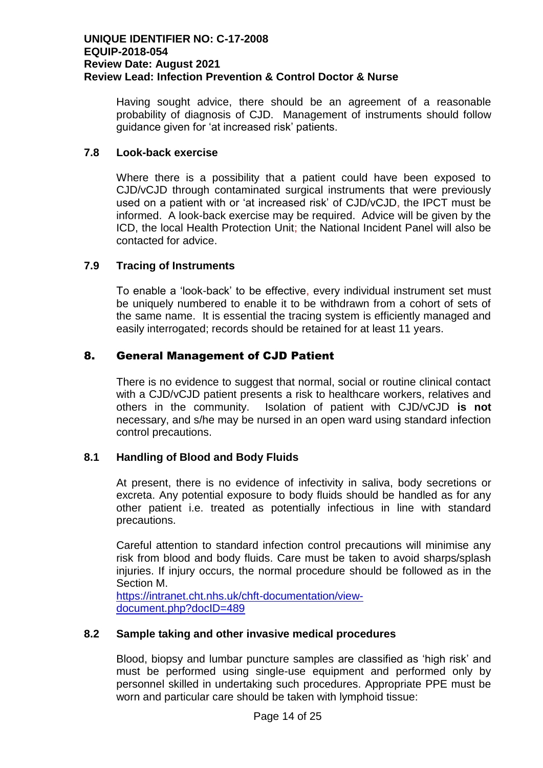Having sought advice, there should be an agreement of a reasonable probability of diagnosis of CJD. Management of instruments should follow guidance given for 'at increased risk' patients.

## **7.8 Look-back exercise**

Where there is a possibility that a patient could have been exposed to CJD/vCJD through contaminated surgical instruments that were previously used on a patient with or 'at increased risk' of CJD/vCJD, the IPCT must be informed. A look-back exercise may be required. Advice will be given by the ICD, the local Health Protection Unit; the National Incident Panel will also be contacted for advice.

## **7.9 Tracing of Instruments**

To enable a 'look-back' to be effective, every individual instrument set must be uniquely numbered to enable it to be withdrawn from a cohort of sets of the same name. It is essential the tracing system is efficiently managed and easily interrogated; records should be retained for at least 11 years.

## 8. General Management of CJD Patient

There is no evidence to suggest that normal, social or routine clinical contact with a CJD/vCJD patient presents a risk to healthcare workers, relatives and others in the community. Isolation of patient with CJD/vCJD **is not** necessary, and s/he may be nursed in an open ward using standard infection control precautions.

#### **8.1 Handling of Blood and Body Fluids**

At present, there is no evidence of infectivity in saliva, body secretions or excreta. Any potential exposure to body fluids should be handled as for any other patient i.e. treated as potentially infectious in line with standard precautions.

Careful attention to standard infection control precautions will minimise any risk from blood and body fluids. Care must be taken to avoid sharps/splash injuries. If injury occurs, the normal procedure should be followed as in the Section M.

[https://intranet.cht.nhs.uk/chft-documentation/view](https://intranet.cht.nhs.uk/chft-documentation/view-document.php?docID=489)[document.php?docID=489](https://intranet.cht.nhs.uk/chft-documentation/view-document.php?docID=489)

#### **8.2 Sample taking and other invasive medical procedures**

Blood, biopsy and lumbar puncture samples are classified as 'high risk' and must be performed using single-use equipment and performed only by personnel skilled in undertaking such procedures. Appropriate PPE must be worn and particular care should be taken with lymphoid tissue: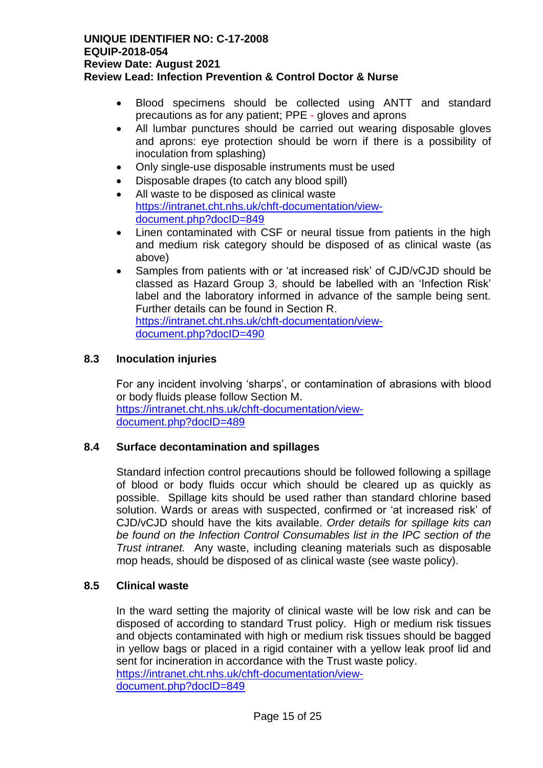- Blood specimens should be collected using ANTT and standard precautions as for any patient; PPE - gloves and aprons
- All lumbar punctures should be carried out wearing disposable gloves and aprons: eye protection should be worn if there is a possibility of inoculation from splashing)
- Only single-use disposable instruments must be used
- Disposable drapes (to catch any blood spill)
- All waste to be disposed as clinical waste [https://intranet.cht.nhs.uk/chft-documentation/view](https://intranet.cht.nhs.uk/chft-documentation/view-document.php?docID=849)[document.php?docID=849](https://intranet.cht.nhs.uk/chft-documentation/view-document.php?docID=849)
- Linen contaminated with CSF or neural tissue from patients in the high and medium risk category should be disposed of as clinical waste (as above)
- Samples from patients with or 'at increased risk' of CJD/vCJD should be classed as Hazard Group 3, should be labelled with an 'Infection Risk' label and the laboratory informed in advance of the sample being sent. Further details can be found in Section R. [https://intranet.cht.nhs.uk/chft-documentation/view](https://intranet.cht.nhs.uk/chft-documentation/view-document.php?docID=490)[document.php?docID=490](https://intranet.cht.nhs.uk/chft-documentation/view-document.php?docID=490)

## **8.3 Inoculation injuries**

For any incident involving 'sharps', or contamination of abrasions with blood or body fluids please follow Section M. [https://intranet.cht.nhs.uk/chft-documentation/view](https://intranet.cht.nhs.uk/chft-documentation/view-document.php?docID=489)[document.php?docID=489](https://intranet.cht.nhs.uk/chft-documentation/view-document.php?docID=489)

#### **8.4 Surface decontamination and spillages**

Standard infection control precautions should be followed following a spillage of blood or body fluids occur which should be cleared up as quickly as possible. Spillage kits should be used rather than standard chlorine based solution. Wards or areas with suspected, confirmed or 'at increased risk' of CJD/vCJD should have the kits available. *Order details for spillage kits can be found on the Infection Control Consumables list in the IPC section of the Trust intranet.* Any waste, including cleaning materials such as disposable mop heads, should be disposed of as clinical waste (see waste policy).

#### **8.5 Clinical waste**

In the ward setting the majority of clinical waste will be low risk and can be disposed of according to standard Trust policy. High or medium risk tissues and objects contaminated with high or medium risk tissues should be bagged in yellow bags or placed in a rigid container with a yellow leak proof lid and sent for incineration in accordance with the Trust waste policy. [https://intranet.cht.nhs.uk/chft-documentation/view](https://intranet.cht.nhs.uk/chft-documentation/view-document.php?docID=849)[document.php?docID=849](https://intranet.cht.nhs.uk/chft-documentation/view-document.php?docID=849)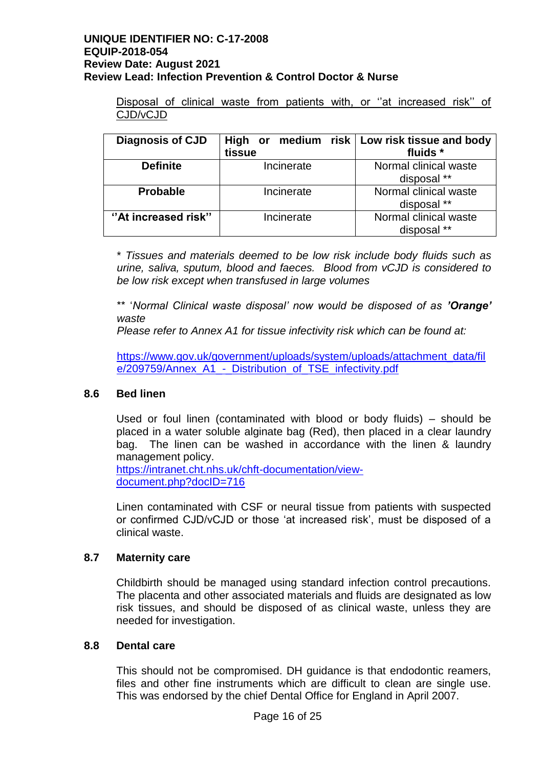Disposal of clinical waste from patients with, or ''at increased risk'' of CJD/vCJD

| <b>Diagnosis of CJD</b> |            | High or medium risk $\vert$ Low risk tissue and body |
|-------------------------|------------|------------------------------------------------------|
|                         | tissue     | fluids *                                             |
| <b>Definite</b>         | Incinerate | Normal clinical waste                                |
|                         |            | disposal **                                          |
| <b>Probable</b>         | Incinerate | Normal clinical waste                                |
|                         |            | disposal **                                          |
| "At increased risk"     | Incinerate | Normal clinical waste                                |
|                         |            | disposal **                                          |

\* *Tissues and materials deemed to be low risk include body fluids such as urine, saliva, sputum, blood and faeces. Blood from vCJD is considered to be low risk except when transfused in large volumes*

\*\* '*Normal Clinical waste disposal' now would be disposed of as 'Orange' waste*

*Please refer to Annex A1 for tissue infectivity risk which can be found at:* 

[https://www.gov.uk/government/uploads/system/uploads/attachment\\_data/fil](https://www.gov.uk/government/uploads/system/uploads/attachment_data/file/209759/Annex_A1_-_Distribution_of_TSE_infectivity.pdf) [e/209759/Annex\\_A1\\_-\\_Distribution\\_of\\_TSE\\_infectivity.pdf](https://www.gov.uk/government/uploads/system/uploads/attachment_data/file/209759/Annex_A1_-_Distribution_of_TSE_infectivity.pdf)

## **8.6 Bed linen**

Used or foul linen (contaminated with blood or body fluids) – should be placed in a water soluble alginate bag (Red), then placed in a clear laundry bag. The linen can be washed in accordance with the linen & laundry management policy.

[https://intranet.cht.nhs.uk/chft-documentation/view](https://intranet.cht.nhs.uk/chft-documentation/view-document.php?docID=716)[document.php?docID=716](https://intranet.cht.nhs.uk/chft-documentation/view-document.php?docID=716)

Linen contaminated with CSF or neural tissue from patients with suspected or confirmed CJD/vCJD or those 'at increased risk', must be disposed of a clinical waste.

#### **8.7 Maternity care**

Childbirth should be managed using standard infection control precautions. The placenta and other associated materials and fluids are designated as low risk tissues, and should be disposed of as clinical waste, unless they are needed for investigation.

#### **8.8 Dental care**

This should not be compromised. DH guidance is that endodontic reamers, files and other fine instruments which are difficult to clean are single use. This was endorsed by the chief Dental Office for England in April 2007.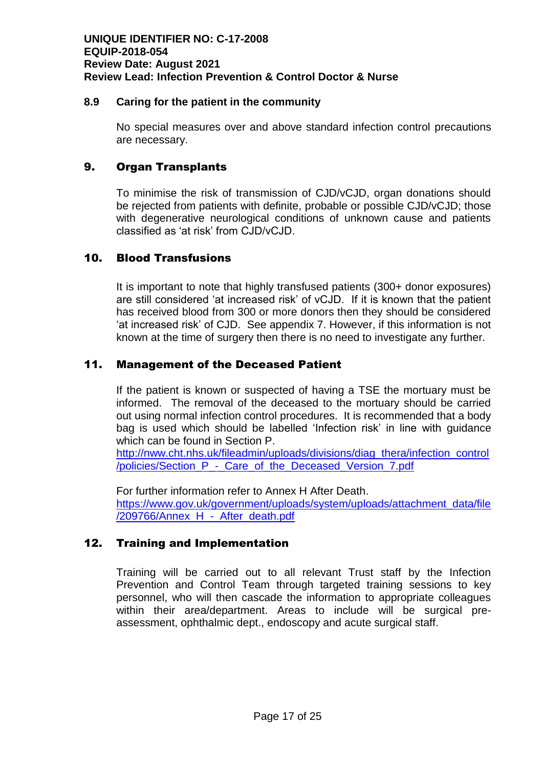#### **8.9 Caring for the patient in the community**

No special measures over and above standard infection control precautions are necessary.

## 9. Organ Transplants

To minimise the risk of transmission of CJD/vCJD, organ donations should be rejected from patients with definite, probable or possible CJD/vCJD; those with degenerative neurological conditions of unknown cause and patients classified as 'at risk' from CJD/vCJD.

## 10. Blood Transfusions

It is important to note that highly transfused patients (300+ donor exposures) are still considered 'at increased risk' of vCJD. If it is known that the patient has received blood from 300 or more donors then they should be considered 'at increased risk' of CJD. See appendix 7. However, if this information is not known at the time of surgery then there is no need to investigate any further.

## 11. Management of the Deceased Patient

If the patient is known or suspected of having a TSE the mortuary must be informed. The removal of the deceased to the mortuary should be carried out using normal infection control procedures. It is recommended that a body bag is used which should be labelled 'Infection risk' in line with guidance which can be found in Section P.

[http://nww.cht.nhs.uk/fileadmin/uploads/divisions/diag\\_thera/infection\\_control](http://nww.cht.nhs.uk/fileadmin/uploads/divisions/diag_thera/infection_control/policies/Section_P_-_Care_of_the_Deceased_Version_7.pdf) [/policies/Section\\_P\\_-\\_Care\\_of\\_the\\_Deceased\\_Version\\_7.pdf](http://nww.cht.nhs.uk/fileadmin/uploads/divisions/diag_thera/infection_control/policies/Section_P_-_Care_of_the_Deceased_Version_7.pdf)

For further information refer to Annex H After Death. [https://www.gov.uk/government/uploads/system/uploads/attachment\\_data/file](https://www.gov.uk/government/uploads/system/uploads/attachment_data/file/209766/Annex_H_-_After_death.pdf) /209766/Annex H - After death.pdf

## 12. Training and Implementation

Training will be carried out to all relevant Trust staff by the Infection Prevention and Control Team through targeted training sessions to key personnel, who will then cascade the information to appropriate colleagues within their area/department. Areas to include will be surgical preassessment, ophthalmic dept., endoscopy and acute surgical staff.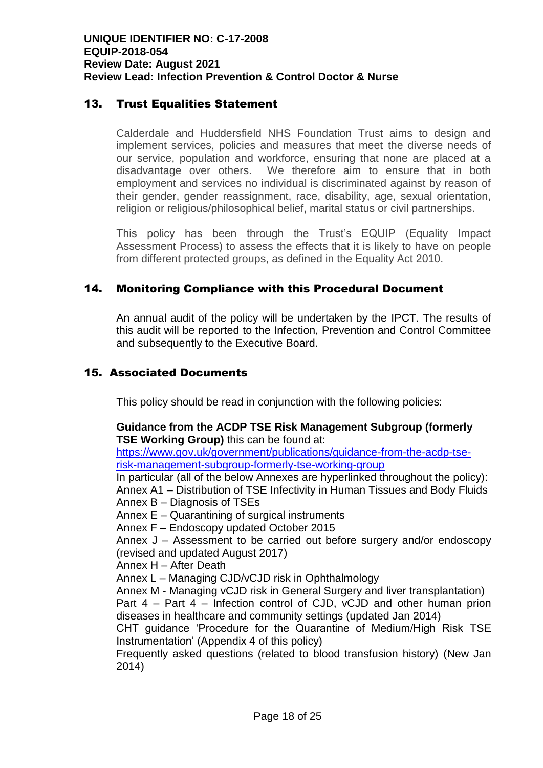## 13. Trust Equalities Statement

Calderdale and Huddersfield NHS Foundation Trust aims to design and implement services, policies and measures that meet the diverse needs of our service, population and workforce, ensuring that none are placed at a disadvantage over others. We therefore aim to ensure that in both employment and services no individual is discriminated against by reason of their gender, gender reassignment, race, disability, age, sexual orientation, religion or religious/philosophical belief, marital status or civil partnerships.

This policy has been through the Trust's EQUIP (Equality Impact Assessment Process) to assess the effects that it is likely to have on people from different protected groups, as defined in the Equality Act 2010.

## 14. Monitoring Compliance with this Procedural Document

An annual audit of the policy will be undertaken by the IPCT. The results of this audit will be reported to the Infection, Prevention and Control Committee and subsequently to the Executive Board.

## 15. Associated Documents

This policy should be read in conjunction with the following policies:

## **Guidance from the ACDP TSE Risk Management Subgroup (formerly TSE Working Group)** this can be found at:

[https://www.gov.uk/government/publications/guidance-from-the-acdp-tse](https://www.gov.uk/government/publications/guidance-from-the-acdp-tse-risk-management-subgroup-formerly-tse-working-group)[risk-management-subgroup-formerly-tse-working-group](https://www.gov.uk/government/publications/guidance-from-the-acdp-tse-risk-management-subgroup-formerly-tse-working-group)

In particular (all of the below Annexes are hyperlinked throughout the policy): Annex A1 – Distribution of TSE Infectivity in Human Tissues and Body Fluids Annex B – Diagnosis of TSEs

Annex E – Quarantining of surgical instruments

Annex F – Endoscopy updated October 2015

Annex J – Assessment to be carried out before surgery and/or endoscopy (revised and updated August 2017)

Annex H – After Death

Annex L – Managing CJD/vCJD risk in Ophthalmology

Annex M - Managing vCJD risk in General Surgery and liver transplantation)

Part 4 – Part 4 – Infection control of CJD, vCJD and other human prion diseases in healthcare and community settings (updated Jan 2014)

CHT guidance 'Procedure for the Quarantine of Medium/High Risk TSE Instrumentation' (Appendix 4 of this policy)

Frequently asked questions (related to blood transfusion history) (New Jan 2014)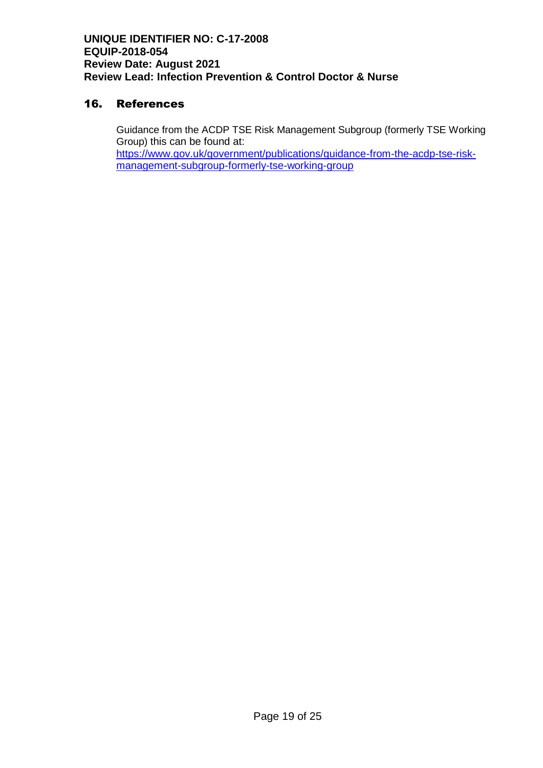## 16. References

Guidance from the ACDP TSE Risk Management Subgroup (formerly TSE Working Group) this can be found at: [https://www.gov.uk/government/publications/guidance-from-the-acdp-tse-risk](https://www.gov.uk/government/publications/guidance-from-the-acdp-tse-risk-management-subgroup-formerly-tse-working-group)[management-subgroup-formerly-tse-working-group](https://www.gov.uk/government/publications/guidance-from-the-acdp-tse-risk-management-subgroup-formerly-tse-working-group)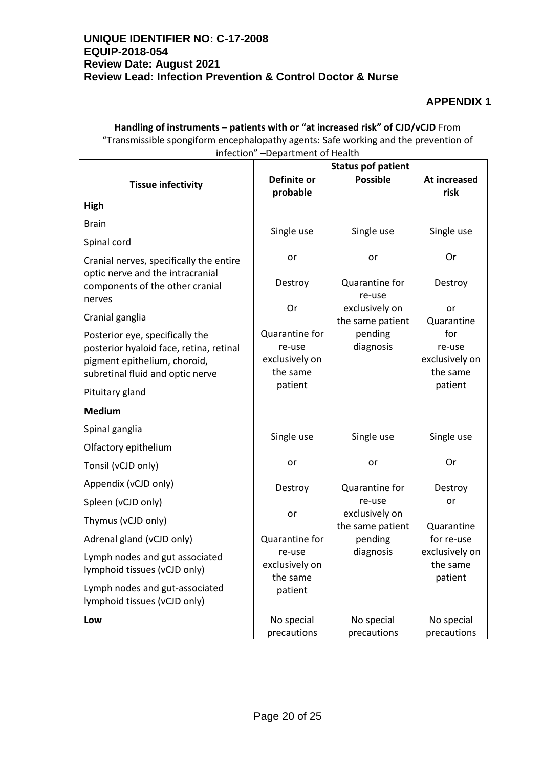# **APPENDIX 1**

**Handling of instruments – patients with or "at increased risk" of CJD/vCJD** From "Transmissible spongiform encephalopathy agents: Safe working and the prevention of infection" –Department of Health

|                                                                         | .<br><b>Status pof patient</b> |                             |                |
|-------------------------------------------------------------------------|--------------------------------|-----------------------------|----------------|
| <b>Tissue infectivity</b>                                               | Definite or                    | <b>Possible</b>             | At increased   |
|                                                                         | probable                       |                             | risk           |
| High                                                                    |                                |                             |                |
| <b>Brain</b>                                                            | Single use                     | Single use                  | Single use     |
| Spinal cord                                                             |                                |                             |                |
| Cranial nerves, specifically the entire                                 | or                             | or                          | Or             |
| optic nerve and the intracranial                                        | Destroy                        | Quarantine for              | Destroy        |
| components of the other cranial<br>nerves                               |                                | re-use                      |                |
|                                                                         | Or                             | exclusively on              | or             |
| Cranial ganglia                                                         |                                | the same patient            | Quarantine     |
| Posterior eye, specifically the                                         | Quarantine for<br>re-use       | pending<br>diagnosis        | for<br>re-use  |
| posterior hyaloid face, retina, retinal<br>pigment epithelium, choroid, | exclusively on                 |                             | exclusively on |
| subretinal fluid and optic nerve                                        | the same                       |                             | the same       |
| Pituitary gland                                                         | patient                        |                             | patient        |
| <b>Medium</b>                                                           |                                |                             |                |
|                                                                         |                                |                             |                |
| Spinal ganglia                                                          | Single use                     | Single use                  | Single use     |
| Olfactory epithelium                                                    |                                |                             |                |
| Tonsil (vCJD only)                                                      | or                             | or                          | Or             |
| Appendix (vCJD only)                                                    | Destroy                        | Quarantine for              | Destroy        |
| Spleen (vCJD only)                                                      |                                | re-use                      | or             |
| Thymus (vCJD only)                                                      | or                             | exclusively on              | Quarantine     |
| Adrenal gland (vCJD only)                                               | Quarantine for                 | the same patient<br>pending | for re-use     |
| Lymph nodes and gut associated                                          | re-use                         | diagnosis                   | exclusively on |
| lymphoid tissues (vCJD only)                                            | exclusively on                 |                             | the same       |
| Lymph nodes and gut-associated                                          | the same<br>patient            |                             | patient        |
| lymphoid tissues (vCJD only)                                            |                                |                             |                |
| Low                                                                     | No special                     | No special                  | No special     |
|                                                                         | precautions                    | precautions                 | precautions    |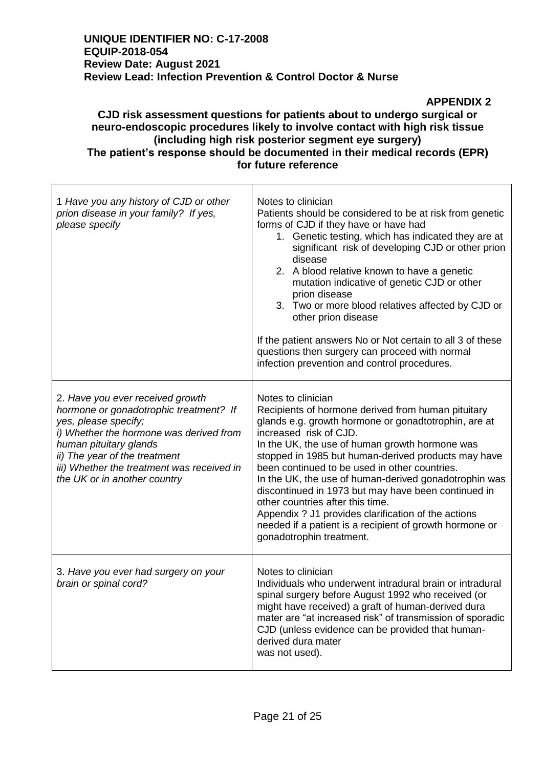#### **APPENDIX 2**

#### **CJD risk assessment questions for patients about to undergo surgical or neuro-endoscopic procedures likely to involve contact with high risk tissue (including high risk posterior segment eye surgery) The patient's response should be documented in their medical records (EPR) for future reference**

| 1 Have you any history of CJD or other<br>prion disease in your family? If yes,<br>please specify                                                                                                                                                                                      | Notes to clinician<br>Patients should be considered to be at risk from genetic<br>forms of CJD if they have or have had<br>1. Genetic testing, which has indicated they are at<br>significant risk of developing CJD or other prion<br>disease<br>2. A blood relative known to have a genetic<br>mutation indicative of genetic CJD or other<br>prion disease<br>3. Two or more blood relatives affected by CJD or<br>other prion disease<br>If the patient answers No or Not certain to all 3 of these<br>questions then surgery can proceed with normal<br>infection prevention and control procedures.              |
|----------------------------------------------------------------------------------------------------------------------------------------------------------------------------------------------------------------------------------------------------------------------------------------|------------------------------------------------------------------------------------------------------------------------------------------------------------------------------------------------------------------------------------------------------------------------------------------------------------------------------------------------------------------------------------------------------------------------------------------------------------------------------------------------------------------------------------------------------------------------------------------------------------------------|
| 2. Have you ever received growth<br>hormone or gonadotrophic treatment? If<br>yes, please specify;<br>i) Whether the hormone was derived from<br>human pituitary glands<br>ii) The year of the treatment<br>iii) Whether the treatment was received in<br>the UK or in another country | Notes to clinician<br>Recipients of hormone derived from human pituitary<br>glands e.g. growth hormone or gonadtotrophin, are at<br>increased risk of CJD.<br>In the UK, the use of human growth hormone was<br>stopped in 1985 but human-derived products may have<br>been continued to be used in other countries.<br>In the UK, the use of human-derived gonadotrophin was<br>discontinued in 1973 but may have been continued in<br>other countries after this time.<br>Appendix ? J1 provides clarification of the actions<br>needed if a patient is a recipient of growth hormone or<br>gonadotrophin treatment. |
| 3. Have you ever had surgery on your<br>brain or spinal cord?                                                                                                                                                                                                                          | Notes to clinician<br>Individuals who underwent intradural brain or intradural<br>spinal surgery before August 1992 who received (or<br>might have received) a graft of human-derived dura<br>mater are "at increased risk" of transmission of sporadic<br>CJD (unless evidence can be provided that human-<br>derived dura mater<br>was not used).                                                                                                                                                                                                                                                                    |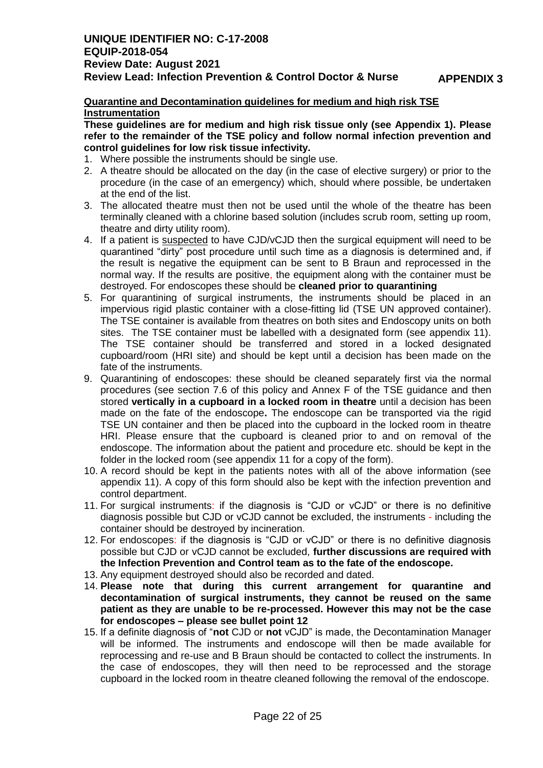#### **Quarantine and Decontamination guidelines for medium and high risk TSE Instrumentation**

**These guidelines are for medium and high risk tissue only (see Appendix 1). Please refer to the remainder of the TSE policy and follow normal infection prevention and control guidelines for low risk tissue infectivity.** 

- 1. Where possible the instruments should be single use.
- 2. A theatre should be allocated on the day (in the case of elective surgery) or prior to the procedure (in the case of an emergency) which, should where possible, be undertaken at the end of the list.
- 3. The allocated theatre must then not be used until the whole of the theatre has been terminally cleaned with a chlorine based solution (includes scrub room, setting up room, theatre and dirty utility room).
- 4. If a patient is suspected to have CJD/vCJD then the surgical equipment will need to be quarantined "dirty" post procedure until such time as a diagnosis is determined and, if the result is negative the equipment can be sent to B Braun and reprocessed in the normal way. If the results are positive, the equipment along with the container must be destroyed. For endoscopes these should be **cleaned prior to quarantining**
- 5. For quarantining of surgical instruments, the instruments should be placed in an impervious rigid plastic container with a close-fitting lid (TSE UN approved container). The TSE container is available from theatres on both sites and Endoscopy units on both sites. The TSE container must be labelled with a designated form (see appendix 11). The TSE container should be transferred and stored in a locked designated cupboard/room (HRI site) and should be kept until a decision has been made on the fate of the instruments.
- 9. Quarantining of endoscopes: these should be cleaned separately first via the normal procedures (see section 7.6 of this policy and Annex F of the TSE guidance and then stored **vertically in a cupboard in a locked room in theatre** until a decision has been made on the fate of the endoscope**.** The endoscope can be transported via the rigid TSE UN container and then be placed into the cupboard in the locked room in theatre HRI. Please ensure that the cupboard is cleaned prior to and on removal of the endoscope. The information about the patient and procedure etc. should be kept in the folder in the locked room (see appendix 11 for a copy of the form).
- 10. A record should be kept in the patients notes with all of the above information (see appendix 11). A copy of this form should also be kept with the infection prevention and control department.
- 11. For surgical instruments: if the diagnosis is "CJD or vCJD" or there is no definitive diagnosis possible but CJD or vCJD cannot be excluded, the instruments - including the container should be destroyed by incineration.
- 12. For endoscopes: if the diagnosis is "CJD or vCJD" or there is no definitive diagnosis possible but CJD or vCJD cannot be excluded, **further discussions are required with the Infection Prevention and Control team as to the fate of the endoscope.**
- 13. Any equipment destroyed should also be recorded and dated.
- 14. **Please note that during this current arrangement for quarantine and decontamination of surgical instruments, they cannot be reused on the same patient as they are unable to be re-processed. However this may not be the case for endoscopes – please see bullet point 12**
- 15. If a definite diagnosis of "**not** CJD or **not** vCJD" is made, the Decontamination Manager will be informed. The instruments and endoscope will then be made available for reprocessing and re-use and B Braun should be contacted to collect the instruments. In the case of endoscopes, they will then need to be reprocessed and the storage cupboard in the locked room in theatre cleaned following the removal of the endoscope.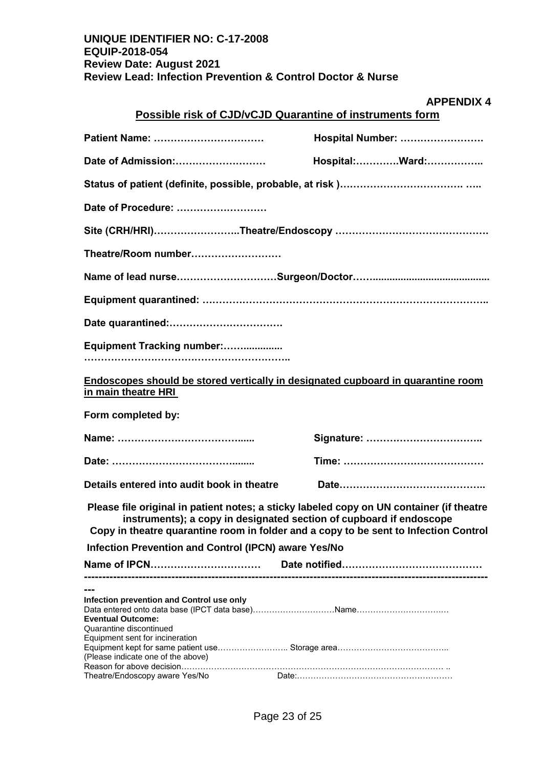| Possible risk of CJD/vCJD Quarantine of instruments form |  |  |
|----------------------------------------------------------|--|--|
|                                                          |  |  |

| Patient Name:                                                                                                                       | Hospital Number:                                                                                                                                                                                                                                        |
|-------------------------------------------------------------------------------------------------------------------------------------|---------------------------------------------------------------------------------------------------------------------------------------------------------------------------------------------------------------------------------------------------------|
| Date of Admission:                                                                                                                  | Hospital:Ward:                                                                                                                                                                                                                                          |
|                                                                                                                                     |                                                                                                                                                                                                                                                         |
| Date of Procedure:                                                                                                                  |                                                                                                                                                                                                                                                         |
|                                                                                                                                     |                                                                                                                                                                                                                                                         |
| Theatre/Room number                                                                                                                 |                                                                                                                                                                                                                                                         |
|                                                                                                                                     |                                                                                                                                                                                                                                                         |
|                                                                                                                                     |                                                                                                                                                                                                                                                         |
|                                                                                                                                     |                                                                                                                                                                                                                                                         |
| Equipment Tracking number:                                                                                                          |                                                                                                                                                                                                                                                         |
| Endoscopes should be stored vertically in designated cupboard in quarantine room<br>in main theatre HRI                             |                                                                                                                                                                                                                                                         |
| Form completed by:                                                                                                                  |                                                                                                                                                                                                                                                         |
|                                                                                                                                     |                                                                                                                                                                                                                                                         |
|                                                                                                                                     |                                                                                                                                                                                                                                                         |
| Details entered into audit book in theatre                                                                                          |                                                                                                                                                                                                                                                         |
|                                                                                                                                     | Please file original in patient notes; a sticky labeled copy on UN container (if theatre<br>instruments); a copy in designated section of cupboard if endoscope<br>Copy in theatre quarantine room in folder and a copy to be sent to Infection Control |
| <b>Infection Prevention and Control (IPCN) aware Yes/No</b>                                                                         |                                                                                                                                                                                                                                                         |
| Name of IPCN                                                                                                                        |                                                                                                                                                                                                                                                         |
| Infection prevention and Control use only<br><b>Eventual Outcome:</b><br>Quarantine discontinued<br>Equipment sent for incineration |                                                                                                                                                                                                                                                         |
| (Please indicate one of the above)                                                                                                  |                                                                                                                                                                                                                                                         |
| Theatre/Endoscopy aware Yes/No                                                                                                      |                                                                                                                                                                                                                                                         |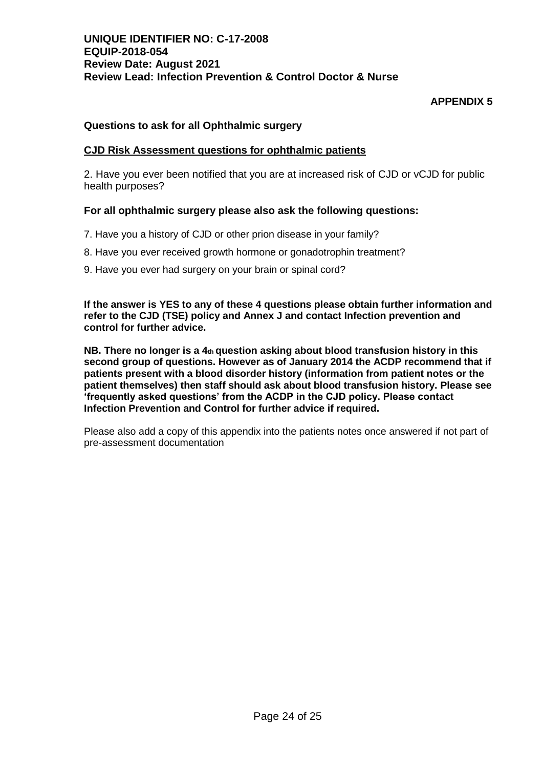#### **APPENDIX 5**

#### **Questions to ask for all Ophthalmic surgery**

#### **CJD Risk Assessment questions for ophthalmic patients**

2. Have you ever been notified that you are at increased risk of CJD or vCJD for public health purposes?

#### **For all ophthalmic surgery please also ask the following questions:**

- 7. Have you a history of CJD or other prion disease in your family?
- 8. Have you ever received growth hormone or gonadotrophin treatment?
- 9. Have you ever had surgery on your brain or spinal cord?

**If the answer is YES to any of these 4 questions please obtain further information and refer to the CJD (TSE) policy and Annex J and contact Infection prevention and control for further advice.** 

**NB. There no longer is a 4th question asking about blood transfusion history in this second group of questions. However as of January 2014 the ACDP recommend that if patients present with a blood disorder history (information from patient notes or the patient themselves) then staff should ask about blood transfusion history. Please see 'frequently asked questions' from the ACDP in the CJD policy. Please contact Infection Prevention and Control for further advice if required.** 

Please also add a copy of this appendix into the patients notes once answered if not part of pre-assessment documentation